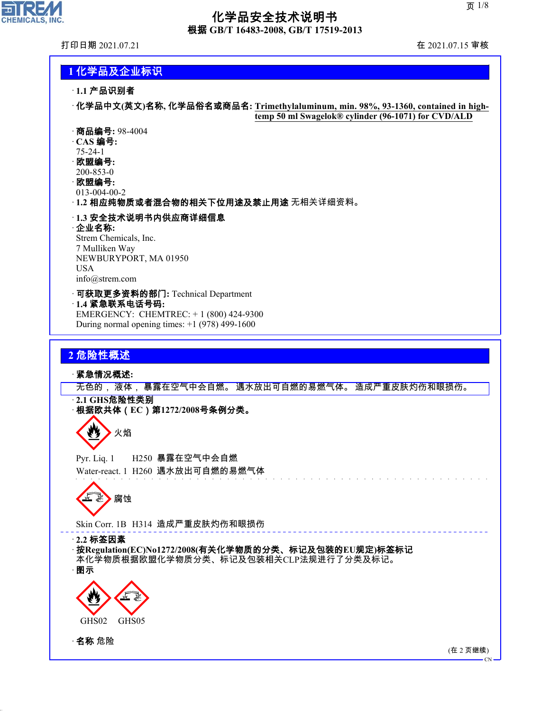## 化学品安全技术说明书 根据 **GB/T 16483-2008, GB/T 17519-2013**

 $\overline{\phantom{a}}$ 

**CHEMICALS, INC.** 

打印日期 2021.07.21 在 2021.07.15 审核

**temp 50 ml Swagelok® cylinder (96-1071) for CVD/ALD**



200-853-0 · 欧盟编号**:**

013-004-00-2

· **1.2** 相应纯物质或者混合物的相关下位用途及禁止用途 无相关详细资料。

· **1.3** 安全技术说明书内供应商详细信息 · 企业名称**:** Strem Chemicals, Inc. 7 Mulliken Way NEWBURYPORT, MA 01950 USA

info@strem.com

· 可获取更多资料的部门**:** Technical Department · **1.4** 紧急联系电话号码**:** EMERGENCY: CHEMTREC: + 1 (800) 424-9300

During normal opening times: +1 (978) 499-1600

### **2** 危险性概述

· 紧急情况概述**:**

无色的, 液体, 暴露在空气中会自燃。 遇水放出可自燃的易燃气体。 造成严重皮肤灼伤和眼损伤。

· **2.1 GHS**危险性类别

· 根据欧共体(**EC**)第**1272/2008**号条例分类。

火焰

Pyr. Liq. 1 H250 暴露在空气中会自燃 Water-react. 1 H260 遇水放出可自燃的易燃气体

d~腐蚀

Skin Corr. 1B H314 造成严重皮肤灼伤和眼损伤

· **2.2** 标签因素

· 按**Regulation(EC)No1272/2008(**有关化学物质的分类、标记及包装的**EU**规定**)**标签标记 本化学物质根据欧盟化学物质分类、标记及包装相关CLP法规进行了分类及标记。 · 图示



· 名称 危险

44.1.1

(在 2 页继续)

CN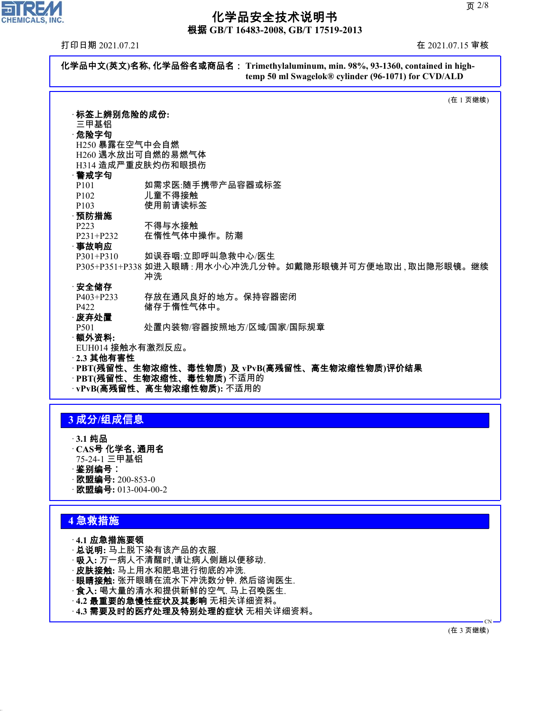根据 **GB/T 16483-2008, GB/T 17519-2013**

打印日期 2021.07.21 在 2021.07.15 审核

ᄀ

**CHEMICALS, INC.** 



## **3** 成分**/**组成信息

- · **3.1** 纯品
- · **CAS**号 化学名**,** 通用名
- 75-24-1 三甲基铝
- ·鉴别编号∶
- · 欧盟编号**:** 200-853-0 · 欧盟编号**:** 013-004-00-2

### **4** 急救措施

44.1.1

- · **4.1** 应急措施要领
- · 总说明**:** 马上脱下染有该产品的衣服.
- · 吸入**:** 万一病人不清醒时,请让病人侧趟以便移动.
- · 皮肤接触**:** 马上用水和肥皂进行彻底的冲洗.
- · 眼睛接触**:** 张开眼睛在流水下冲洗数分钟. 然后谘询医生.
- · 食入**:** 喝大量的清水和提供新鲜的空气. 马上召唤医生.
- · **4.2** 最重要的急慢性症状及其影响 无相关详细资料。
- · **4.3** 需要及时的医疗处理及特别处理的症状 无相关详细资料。

(在 3 页继续)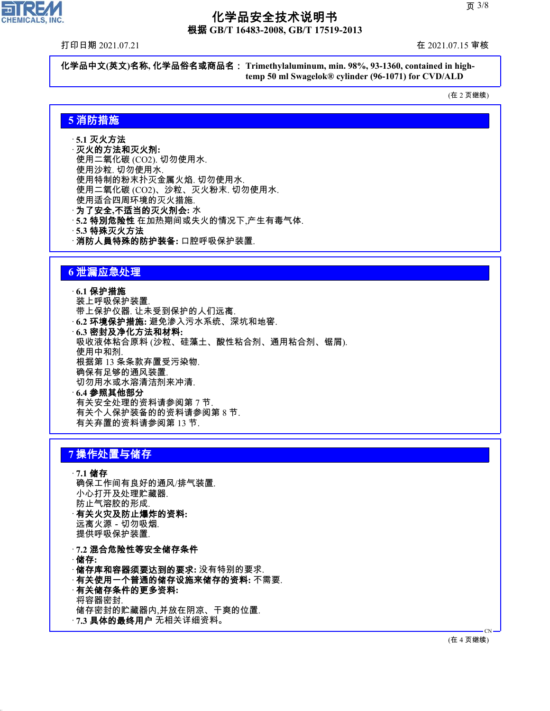根据 **GB/T 16483-2008, GB/T 17519-2013**

打印日期 2021.07.21 在 2021.07.15 审核

미디

**CHEMICALS, INC.** 

化学品中文**(**英文**)**名称**,** 化学品俗名或商品名: **Trimethylaluminum, min. 98%, 93-1360, contained in hightemp 50 ml Swagelok® cylinder (96-1071) for CVD/ALD**

(在 2 页继续)

## **5** 消防措施

- · **5.1** 灭火方法 · 灭火的方法和灭火剂**:**
- 使用二氧化碳 (CO2). 切勿使用水. 使用沙粒. 切勿使用水. 使用特制的粉末扑灭金属火焰. 切勿使用水. 使用二氧化碳 (CO2)、沙粒、灭火粉末. 切勿使用水. 使用适合四周环境的灭火措施. · 为了安全**,**不适当的灭火剂会**:** 水 · **5.2** 特別危险性 在加热期间或失火的情况下,产生有毒气体. · **5.3** 特殊灭火方法 · 消防人員特殊的防护装备**:** 口腔呼吸保护装置.

### **6** 泄漏应急处理

· **6.1** 保护措施 装上呼吸保护装置. 带上保护仪器. 让未受到保护的人们远离. · **6.2** 环境保护措施**:** 避免渗入污水系统、深坑和地窖. · **6.3** 密封及净化方法和材料**:** 吸收液体粘合原料 (沙粒、硅藻土、酸性粘合剂、通用粘合剂、锯屑). 使用中和剂. 根据第 13 条条款弃置受污染物. 确保有足够的通风装置. 切勿用水或水溶清洁剂来冲清. · **6.4** 参照其他部分 有关安全处理的资料请参阅第 7 节. 有关个人保护装备的的资料请参阅第 8 节.

### **7** 操作处置与储存

44.1.1

· **7.1** 储存 确保工作间有良好的通风/排气装置. 小心打开及处理贮藏器. 防止气溶胶的形成. · 有关火灾及防止爆炸的资料**:** 远离火源-切勿吸烟. 提供呼吸保护装置. · **7.2** 混合危险性等安全储存条件 · 储存**:**

有关弃置的资料请参阅第 13 节.

· 储存库和容器须要达到的要求**:** 没有特别的要求. · 有关使用一个普通的储存设施来储存的资料**:** 不需要. · 有关储存条件的更多资料**:** 将容器密封. 储存密封的贮藏器内,并放在阴凉、干爽的位置. · **7.3** 具体的最终用户 无相关详细资料。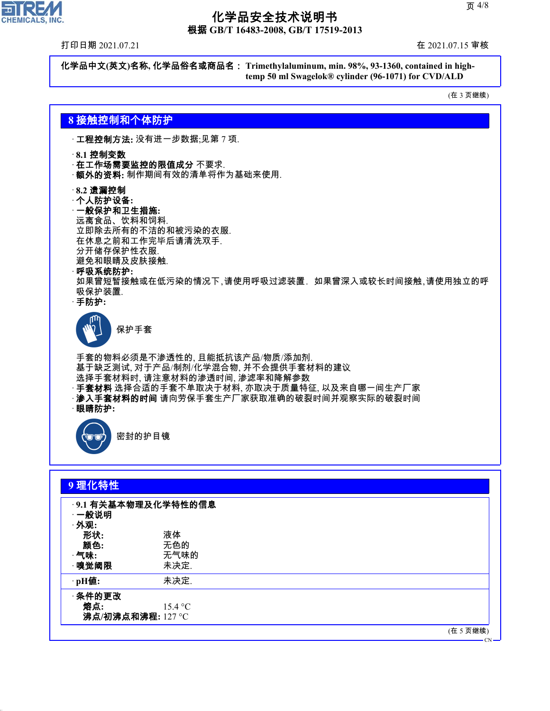根据 **GB/T 16483-2008, GB/T 17519-2013**

打印日期 2021.07.21 在 2021.07.15 审核

 $\overline{\mathbf{r}}$ 

**CHEMICALS, INC.** 

化学品中文**(**英文**)**名称**,** 化学品俗名或商品名: **Trimethylaluminum, min. 98%, 93-1360, contained in hightemp 50 ml Swagelok® cylinder (96-1071) for CVD/ALD**

(在 3 页继续)

### **8** 接触控制和个体防护

· 工程控制方法**:** 没有进一步数据;见第 7 项.

#### · **8.1** 控制变数

- · 在工作场需要监控的限值成分 不要求.
- · 额外的资料**:** 制作期间有效的清单将作为基础来使用.
- · **8.2** 遗漏控制
- · 个人防护设备**:**

#### · 一般保护和卫生措施**:**

远离食品、饮料和饲料. 立即除去所有的不洁的和被污染的衣服. 在休息之前和工作完毕后请清洗双手. 分开储存保护性衣服. 避免和眼睛及皮肤接触.

· 呼吸系统防护**:**

如果曾短暂接触或在低污染的情况下,请使用呼吸过滤装置. 如果曾深入或较长时间接触,请使用独立的呼 吸保护装置.

· 手防护**:**



手套的物料必须是不渗透性的, 且能抵抗该产品/物质/添加剂. 基于缺乏测试, 对于产品/制剂/化学混合物, 并不会提供手套材料的建议 选择手套材料时, 请注意材料的渗透时间, 渗滤率和降解参数 · 手套材料 选择合适的手套不单取决于材料, 亦取决于质量特征, 以及来自哪一间生产厂家 · 渗入手套材料的时间 请向劳保手套生产厂家获取准确的破裂时间并观察实际的破裂时间 · 眼睛防护**:**



44.1.1

密封的护目镜

| 9理化特性             |                    |  |  |
|-------------------|--------------------|--|--|
|                   | 9.1 有关基本物理及化学特性的信息 |  |  |
| 一般说明              |                    |  |  |
| ·外观:              |                    |  |  |
| 形状:               | 液体                 |  |  |
| 颜色:               | 无色的                |  |  |
| $\cdot$ 气味:       | 无气味的               |  |  |
| ·嗅觉阈限             | 未决定.               |  |  |
| ·pH值:             | 未决定.               |  |  |
| ·条件的更改            |                    |  |  |
| 熔点:               | 15.4 °C            |  |  |
| 沸点/初沸点和沸程: 127 °C |                    |  |  |
|                   |                    |  |  |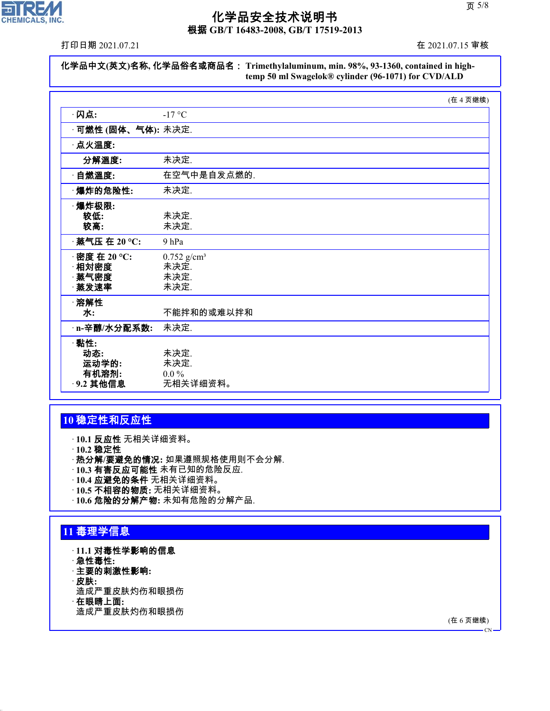

根据 **GB/T 16483-2008, GB/T 17519-2013**

打印日期 2021.07.21 在 2021.07.15 审核

| 化学品中文(英文)名称, 化学品俗名或商品名: Trimethylaluminum, min. 98%, 93-1360, contained in high- |
|----------------------------------------------------------------------------------|
| temp 50 ml Swagelok® cylinder (96-1071) for CVD/ALD                              |

|                                             | (在 4 页继续)                                         |  |
|---------------------------------------------|---------------------------------------------------|--|
| ·闪点:                                        | $-17$ °C                                          |  |
| · <b>可燃性 (固体、气体):</b> 未决定.                  |                                                   |  |
| · 点火温度:                                     |                                                   |  |
| 分解溫度:                                       | 未决定.                                              |  |
| · 自燃溫度:                                     | 在空气中是自发点燃的.                                       |  |
| ·爆炸的危险性:                                    | 未决定.                                              |  |
| ·爆炸极限:<br>较低:<br>较高:                        | 未决定.<br>未决定.                                      |  |
| · 蒸气压 在 20 °C:                              | 9 <sub>hPa</sub>                                  |  |
| · 密度 在 20 ℃:<br>相対密度<br>蒸气密度<br>蒸发速率        | $0.752$ g/cm <sup>3</sup><br>未决定.<br>未决定.<br>未决定. |  |
| ·溶解性<br>水:                                  | 不能拌和的或难以拌和                                        |  |
| n-辛醇/水分配系数:                                 | 未决定.                                              |  |
| ·黏性:<br>动态:<br>运动学的:<br>有机溶剂:<br>· 9.2 其他信息 | 未决定.<br>未决定.<br>$0.0\%$<br>无相关详细资料。               |  |

## **10** 稳定性和反应性

· **10.1** 反应性 无相关详细资料。

· **10.2** 稳定性

· 热分解**/**要避免的情况**:** 如果遵照规格使用则不会分解.

- · **10.3** 有害反应可能性 未有已知的危险反应.
- · **10.4** 应避免的条件 无相关详细资料。
- · **10.5** 不相容的物质**:** 无相关详细资料。
- · **10.6** 危险的分解产物**:** 未知有危险的分解产品.

## **11** 毒理学信息

- · **11.1** 对毒性学影响的信息
- · 急性毒性**:**
- · 主要的刺激性影响**:**
- · 皮肤**:**

44.1.1

- 造成严重皮肤灼伤和眼损伤
- · 在眼睛上面**:**

造成严重皮肤灼伤和眼损伤

(在 6 页继续)

 $\overline{C}N$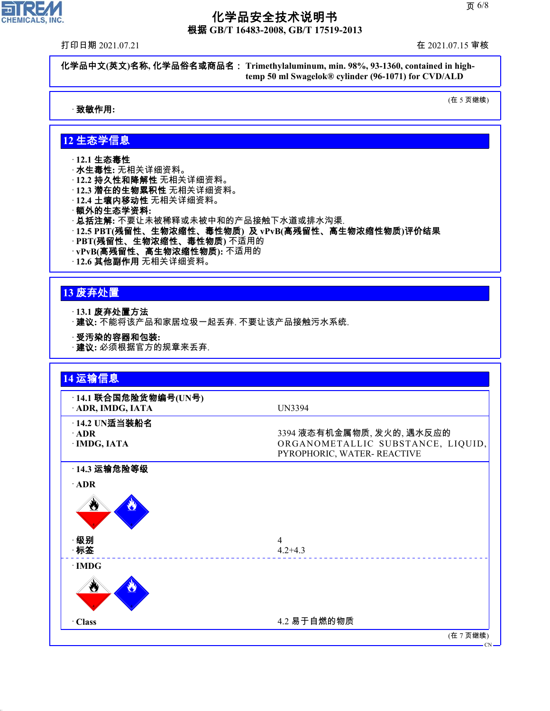根据 **GB/T 16483-2008, GB/T 17519-2013**

打印日期 2021.07.21 在 2021.07.15 审核

 $\overline{\mathbf{r}}$ 

CHEMICALS, INC.

化学品中文**(**英文**)**名称**,** 化学品俗名或商品名: **Trimethylaluminum, min. 98%, 93-1360, contained in hightemp 50 ml Swagelok® cylinder (96-1071) for CVD/ALD**

· 致敏作用**:**

(在 5 页继续)

### **12** 生态学信息

- · **12.1** 生态毒性
- · 水生毒性**:** 无相关详细资料。
- · **12.2** 持久性和降解性 无相关详细资料。
- · **12.3** 潜在的生物累积性 无相关详细资料。
- · **12.4** 土壤内移动性 无相关详细资料。
- · 额外的生态学资料**:**
- · 总括注解**:** 不要让未被稀释或未被中和的产品接触下水道或排水沟渠.
- · **12.5 PBT(**残留性、生物浓缩性、毒性物质**)** 及 **vPvB(**高残留性、高生物浓缩性物质**)**评价结果
- · **PBT(**残留性、生物浓缩性、毒性物质**)** 不适用的
- · **vPvB(**高残留性、高生物浓缩性物质**):** 不适用的
- · **12.6** 其他副作用 无相关详细资料。

## **13** 废弃处置

44.1.1

- · **13.1** 废弃处置方法
- · 建议**:** 不能将该产品和家居垃圾一起丢弃. 不要让该产品接触污水系统.
- · 受汚染的容器和包装**:**
- · 建议**:** 必须根据官方的规章来丢弃.

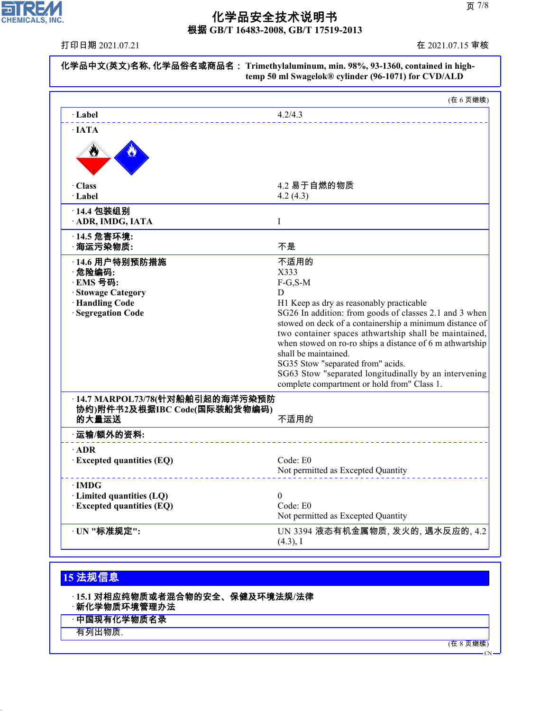根据 **GB/T 16483-2008, GB/T 17519-2013**

打印日期 2021.07.21 在 2021.07.15 审核

CHEMICALS, INC.

|                                            | (在6页继续)                                                                                            |
|--------------------------------------------|----------------------------------------------------------------------------------------------------|
| · Label                                    | 4.2/4.3                                                                                            |
| $\cdot$ IATA                               |                                                                                                    |
| ₩                                          |                                                                                                    |
| · Class                                    | 4.2 易于自燃的物质                                                                                        |
| · Label                                    | 4.2(4.3)                                                                                           |
| · 14.4 包装组别<br>· ADR, IMDG, IATA           | I                                                                                                  |
| · 14.5 危害环境:<br>海运污染物质:                    | 不是                                                                                                 |
| · 14.6 用户特别预防措施                            | 不适用的                                                                                               |
| ·危险编码:                                     | X333                                                                                               |
| · EMS 号码:                                  | $F-G, S-M$                                                                                         |
| · Stowage Category                         | D                                                                                                  |
| <b>Handling Code</b><br>· Segregation Code | H1 Keep as dry as reasonably practicable<br>SG26 In addition: from goods of classes 2.1 and 3 when |
|                                            | stowed on deck of a containership a minimum distance of                                            |
|                                            | two container spaces athwartship shall be maintained,                                              |
|                                            | when stowed on ro-ro ships a distance of 6 m athwartship                                           |
|                                            | shall be maintained.                                                                               |
|                                            | SG35 Stow "separated from" acids.                                                                  |
|                                            | SG63 Stow "separated longitudinally by an intervening                                              |
|                                            | complete compartment or hold from" Class 1.                                                        |
| ·14.7 MARPOL73/78(针对船舶引起的海洋污染预防            |                                                                                                    |
| 协约)附件书2及根据IBC Code(国际装船货物编码)<br>的大量运送      | 不适用的                                                                                               |
| 运输/额外的资料:                                  |                                                                                                    |
| $\cdot$ ADR                                |                                                                                                    |
| <b>Excepted quantities (EQ)</b>            | Code: E0<br>Not permitted as Excepted Quantity                                                     |
|                                            |                                                                                                    |
| $\cdot$ IMDG<br>· Limited quantities (LQ)  | $\theta$                                                                                           |
| <b>Excepted quantities (EQ)</b>            | Code: E0                                                                                           |
|                                            | Not permitted as Excepted Quantity                                                                 |
|                                            |                                                                                                    |

## **15** 法规信息

· **15.1** 对相应纯物质或者混合物的安全、保健及环境法规**/**法律

新化学物质环境管理办法

- · 中国现有化学物质名录
- 有列出物质.

44.1.1

(在 8 页继续)